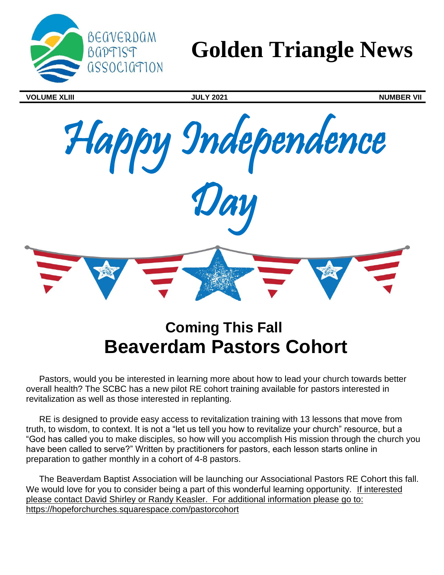

# **Golden Triangle News**

**VOLUME XLIII JULY 2021 NUMBER VII**



## **Coming This Fall Beaverdam Pastors Cohort**

Pastors, would you be interested in learning more about how to lead your church towards better overall health? The SCBC has a new pilot RE cohort training available for pastors interested in revitalization as well as those interested in replanting.

RE is designed to provide easy access to revitalization training with 13 lessons that move from truth, to wisdom, to context. It is not a "let us tell you how to revitalize your church" resource, but a "God has called you to make disciples, so how will you accomplish His mission through the church you have been called to serve?" Written by practitioners for pastors, each lesson starts online in preparation to gather monthly in a cohort of 4-8 pastors.

The Beaverdam Baptist Association will be launching our Associational Pastors RE Cohort this fall. We would love for you to consider being a part of this wonderful learning opportunity. If interested please contact David Shirley or Randy Keasler. For additional information please go to: https://hopeforchurches.squarespace.com/pastorcohort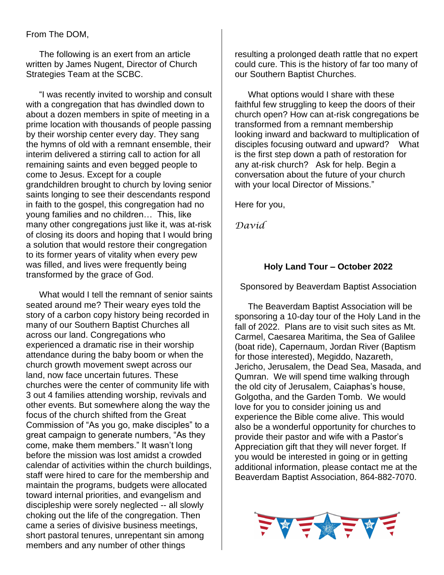#### From The DOM,

The following is an exert from an article written by James Nugent, Director of Church Strategies Team at the SCBC.

"I was recently invited to worship and consult with a congregation that has dwindled down to about a dozen members in spite of meeting in a prime location with thousands of people passing by their worship center every day. They sang the hymns of old with a remnant ensemble, their interim delivered a stirring call to action for all remaining saints and even begged people to come to Jesus. Except for a couple grandchildren brought to church by loving senior saints longing to see their descendants respond in faith to the gospel, this congregation had no young families and no children… This, like many other congregations just like it, was at-risk of closing its doors and hoping that I would bring a solution that would restore their congregation to its former years of vitality when every pew was filled, and lives were frequently being transformed by the grace of God.

What would I tell the remnant of senior saints seated around me? Their weary eyes told the story of a carbon copy history being recorded in many of our Southern Baptist Churches all across our land. Congregations who experienced a dramatic rise in their worship attendance during the baby boom or when the church growth movement swept across our land, now face uncertain futures. These churches were the center of community life with 3 out 4 families attending worship, revivals and other events. But somewhere along the way the focus of the church shifted from the Great Commission of "As you go, make disciples" to a great campaign to generate numbers, "As they come, make them members." It wasn't long before the mission was lost amidst a crowded calendar of activities within the church buildings, staff were hired to care for the membership and maintain the programs, budgets were allocated toward internal priorities, and evangelism and discipleship were sorely neglected -- all slowly choking out the life of the congregation. Then came a series of divisive business meetings, short pastoral tenures, unrepentant sin among members and any number of other things

resulting a prolonged death rattle that no expert could cure. This is the history of far too many of our Southern Baptist Churches.

What options would I share with these faithful few struggling to keep the doors of their church open? How can at-risk congregations be transformed from a remnant membership looking inward and backward to multiplication of disciples focusing outward and upward? What is the first step down a path of restoration for any at-risk church? Ask for help. Begin a conversation about the future of your church with your local Director of Missions."

Here for you,

*David*

#### **Holy Land Tour – October 2022**

Sponsored by Beaverdam Baptist Association

The Beaverdam Baptist Association will be sponsoring a 10-day tour of the Holy Land in the fall of 2022. Plans are to visit such sites as Mt. Carmel, Caesarea Maritima, the Sea of Galilee (boat ride), Capernaum, Jordan River (Baptism for those interested), Megiddo, Nazareth, Jericho, Jerusalem, the Dead Sea, Masada, and Qumran. We will spend time walking through the old city of Jerusalem, Caiaphas's house, Golgotha, and the Garden Tomb. We would love for you to consider joining us and experience the Bible come alive. This would also be a wonderful opportunity for churches to provide their pastor and wife with a Pastor's Appreciation gift that they will never forget. If you would be interested in going or in getting additional information, please contact me at the Beaverdam Baptist Association, 864-882-7070.

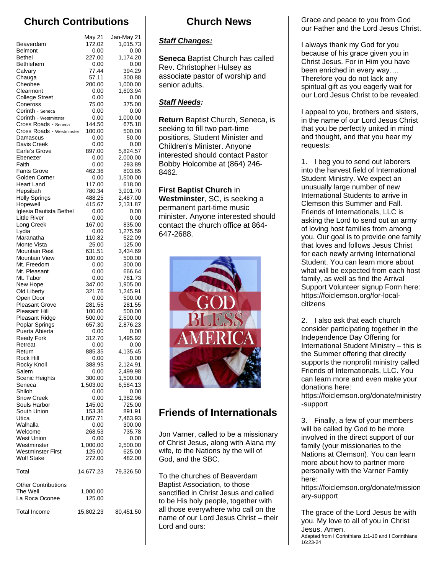## **Church Contributions**

|                                        | May 21           | Jan-May 21         |
|----------------------------------------|------------------|--------------------|
| Beaverdam                              | 172.02           | 1,015.73           |
| <b>Belmont</b>                         | 0.00             | 0.00               |
| Bethel<br>Bethlehem                    | 227.00<br>0.00   | 1.174.20<br>0.00   |
| Calvary                                | 77.44            | 394.29             |
| Chauga                                 | 57.11            | 300.88             |
| Cheohee                                | 200.00           | 1,000.00           |
| Clearmont                              | 0.00             | 1,603.94           |
| <b>College Street</b><br>Coneross      | 0.00<br>75.00    | 0.00<br>375.00     |
| Corinth - Seneca                       | 0.00             | 0.00               |
| Corinth - Westminster                  | 0.00             | 1,000.00           |
| Cross Roads - Seneca                   | 144.50           | 675.18             |
| Cross Roads - Westminster              | 100.00           | 500.00             |
| Damascus<br>Davis Creek                | 0.00<br>0.00     | 50.00<br>0.00      |
| Earle's Grove                          | 897.00           | 5,824.57           |
| Ebenezer                               | 0.00             | 2,000.00           |
| Faith                                  | 0.00             | 293.89             |
| <b>Fants Grove</b>                     | 462.36           | 803.85             |
| Golden Corner                          | 0.00             | 1,500.00           |
| <b>Heart Land</b><br>Hepsibah          | 117.00<br>780.34 | 618.00<br>3,901.70 |
| <b>Holly Springs</b>                   | 488.25           | 2,487.00           |
| Hopewell                               | 415.67           | 2,131.87           |
| Iglesia Bautista Bethel                | 0.00             | 0.00               |
| Little River                           | 0.00             | 0.00               |
| Long Creek<br>Lydia                    | 167.00<br>0.00   | 835.00<br>1,275.59 |
| Maranatha                              | 110.82           | 522.09             |
| Monte Vista                            | 25.00            | 125.00             |
| Mountain Rest                          | 631.51           | 3,434.69           |
| Mountain View                          | 100.00           | 500.00             |
| Mt. Freedom<br>Mt. Pleasant            | 0.00<br>0.00     | 300.00<br>666.64   |
| Mt. Tabor                              | 0.00             | 761.73             |
| New Hope                               | 347.00           | 1,905.00           |
| Old Liberty                            | 321.76           | 1,245.91           |
| Open Door                              | 0.00             | 500.00             |
| <b>Pleasant Grove</b><br>Pleasant Hill | 281.55<br>100.00 | 281.55             |
| <b>Pleasant Ridge</b>                  | 500.00           | 500.00<br>2,500.00 |
| Poplar Springs                         | 657.30           | 2,876.23           |
| Puerta Abierta                         | 0.00             | 0.00               |
| <b>Reedy Fork</b>                      | 312.70           | 1.495.92           |
| Retreat<br>Return                      | 0.00<br>885.35   | 0.00<br>4,135.45   |
| Rock Hill                              | 0.00             | 0.00               |
| Rocky Knoll                            | 388.95           | 2,124.91           |
| Salem                                  | 0.00             | 2,499.98           |
| Scenic Heights                         | 300.00           | 1,500.00           |
| Seneca<br>Shiloh                       | 1,503.00<br>0.00 | 6,584.13<br>0.00   |
| Snow Creek                             | 0.00             | 1,382.96           |
| Souls Harbor                           | 145.00           | 725.00             |
| South Union                            | 153.36           | 891.91             |
| Utica                                  | 1,867.71         | 7,463.93           |
| Walhalla<br>Welcome                    | 0.00<br>268.53   | 300.00<br>735.78   |
| <b>West Union</b>                      | 0.00             | 0.00               |
| Westminster                            | 1,000.00         | 2,500.00           |
| <b>Westminster First</b>               | 125.00           | 625.00             |
| Wolf Stake                             | 272.00           | 482.00             |
| Total                                  | 14,677.23        | 79,326.50          |
| <b>Other Contributions</b>             |                  |                    |
| The Well                               | 1,000.00         |                    |
| La Roca Oconee                         | 125.00           |                    |
| <b>Total Income</b>                    | 15,802.23        | 80,451.50          |
|                                        |                  |                    |

### **Church News**

#### *Staff Changes:*

**Seneca** Baptist Church has called Rev. Christopher Hulsey as associate pastor of worship and senior adults.

#### *Staff Needs:*

**Return** Baptist Church, Seneca, is seeking to fill two part-time positions, Student Minister and Children's Minister. Anyone interested should contact Pastor Bobby Holcombe at (864) 246- 8462.

**First Baptist Church** in **Westminster**, SC, is seeking a permanent part-time music minister. Anyone interested should contact the church office at 864- 647-2688.



## **Friends of Internationals**

Jon Varner, called to be a missionary of Christ Jesus, along with Alana my wife, to the Nations by the will of God, and the SBC.

To the churches of Beaverdam Baptist Association, to those sanctified in Christ Jesus and called to be His holy people, together with all those everywhere who call on the name of our Lord Jesus Christ – their Lord and ours:

Grace and peace to you from God our Father and the Lord Jesus Christ.

I always thank my God for you because of his grace given you in Christ Jesus. For in Him you have been enriched in every way…. Therefore you do not lack any spiritual gift as you eagerly wait for our Lord Jesus Christ to be revealed.

I appeal to you, brothers and sisters, in the name of our Lord Jesus Christ that you be perfectly united in mind and thought, and that you hear my requests:

1. I beg you to send out laborers into the harvest field of International Student Ministry. We expect an unusually large number of new International Students to arrive in Clemson this Summer and Fall. Friends of Internationals, LLC is asking the Lord to send out an army of loving host families from among you. Our goal is to provide one family that loves and follows Jesus Christ for each newly arriving International Student. You can learn more about what will be expected from each host family, as well as find the Arrival Support Volunteer signup Form here: https://foiclemson.org/for-localcitizens

2. I also ask that each church consider participating together in the Independence Day Offering for International Student Ministry – this is the Summer offering that directly supports the nonprofit ministry called Friends of Internationals, LLC. You can learn more and even make your donations here:

https://foiclemson.org/donate/ministry -support

3. Finally, a few of your members will be called by God to be more involved in the direct support of our family (your missionaries to the Nations at Clemson). You can learn more about how to partner more personally with the Varner Family here:

https://foiclemson.org/donate/mission ary-support

The grace of the Lord Jesus be with you. My love to all of you in Christ Jesus. Amen. Adapted from I Corinthians 1:1-10 and I Corinthians 16:23-24